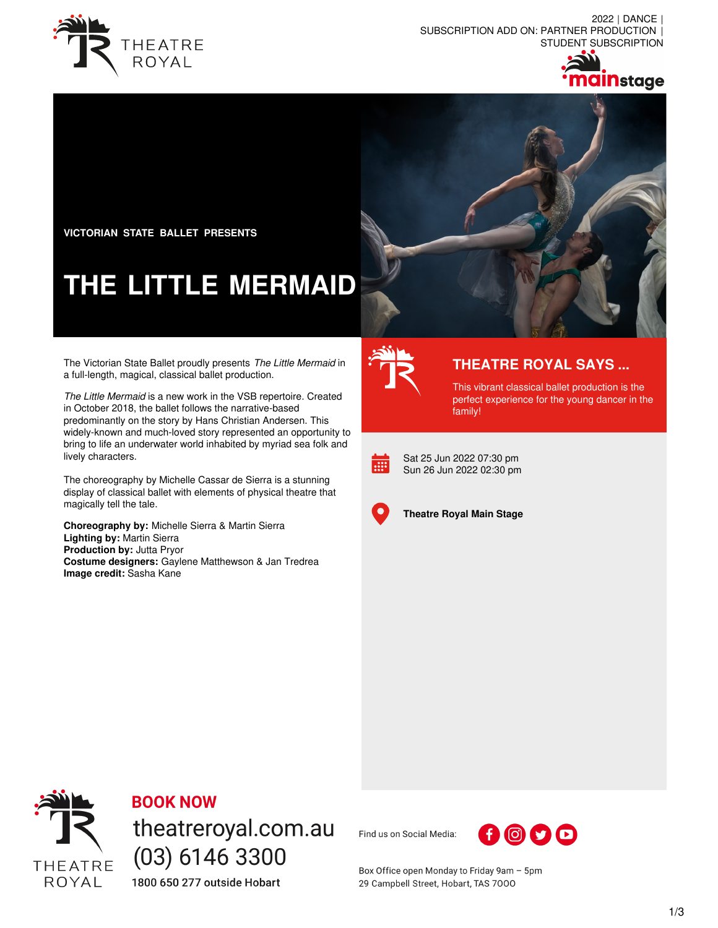

2022 | DANCE | SUBSCRIPTION ADD ON: PARTNER PRODUCTION | STUDENT SUBSCRIPTION





**VICTORIAN STATE BALLET PRESENTS**

# **THE LITTLE MERMAID**

The Victorian State Ballet proudly presents *The Little Mermaid* in a full-length, magical, classical ballet production.

*The Little Mermaid* is a new work in the VSB repertoire. Created in October 2018, the ballet follows the narrative-based predominantly on the story by Hans Christian Andersen. This widely-known and much-loved story represented an opportunity to bring to life an underwater world inhabited by myriad sea folk and lively characters.

The choreography by Michelle Cassar de Sierra is a stunning display of classical ballet with elements of physical theatre that magically tell the tale.

**Choreography by:** Michelle Sierra & Martin Sierra **Lighting by:** Martin Sierra **Production by:** Jutta Pryor **Costume designers:** Gaylene Matthewson & Jan Tredrea **Image credit:** Sasha Kane



## **THEATRE ROYAL SAYS ...**

This vibrant classical ballet production is the perfect experience for the young dancer in the family!



Sat 25 Jun 2022 07:30 pm Sun 26 Jun 2022 02:30 pm



**Theatre Royal Main Stage**



### **BOOK NOW**

theatreroyal.com.au  $(03)$  6146 3300 1800 650 277 outside Hobart

Find us on Social Media:



Box Office open Monday to Friday 9am - 5pm 29 Campbell Street, Hobart, TAS 7000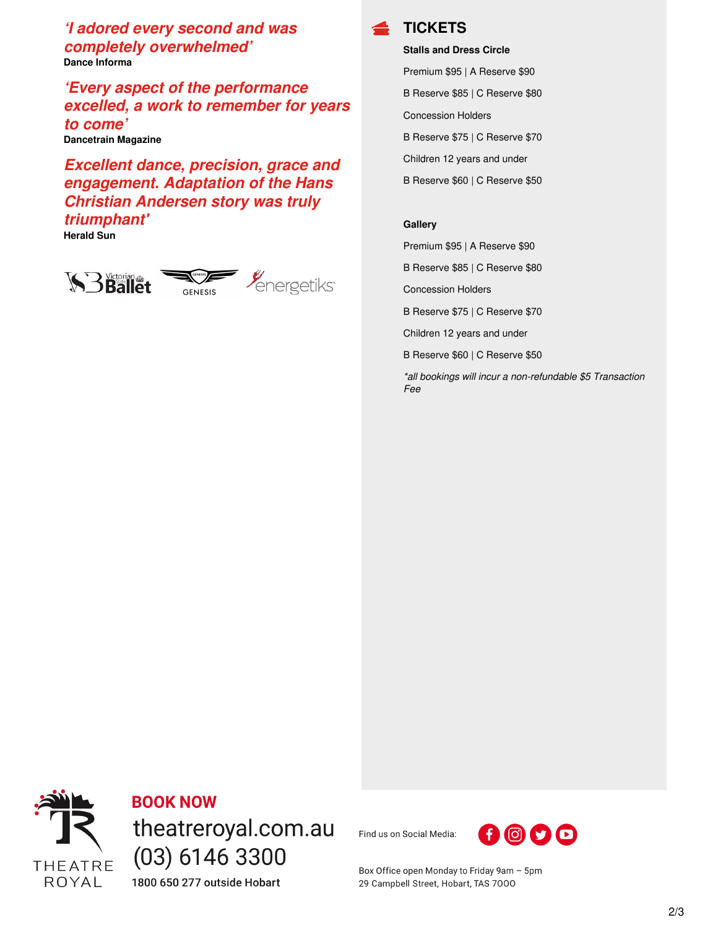*'I adored every second and was completely overwhelmed'* **Dance Informa**

*'Every aspect of the performance excelled, a work to remember for years to come'* **Dancetrain Magazine**

*Excellent dance, precision, grace and engagement. Adaptation of the Hans Christian Andersen story was truly triumphant'*

**Herald Sun**





**Stalls and Dress Circle**

Premium \$95 | A Reserve \$90 B Reserve \$85 | C Reserve \$80

Concession Holders

B Reserve \$75 | C Reserve \$70

Children 12 years and under

B Reserve \$60 | C Reserve \$50

#### **Gallery**

Premium \$95 | A Reserve \$90

B Reserve \$85 | C Reserve \$80

Concession Holders

B Reserve \$75 | C Reserve \$70

Children 12 years and under

B Reserve \$60 | C Reserve \$50

*\*all bookings will incur a non-refundable \$5 Transaction Fee*



**BOOK NOW** theatreroyal.com.au  $(03)$  6146 3300 1800 650 277 outside Hobart

Find us on Social Media:



Box Office open Monday to Friday 9am - 5pm 29 Campbell Street, Hobart, TAS 7000